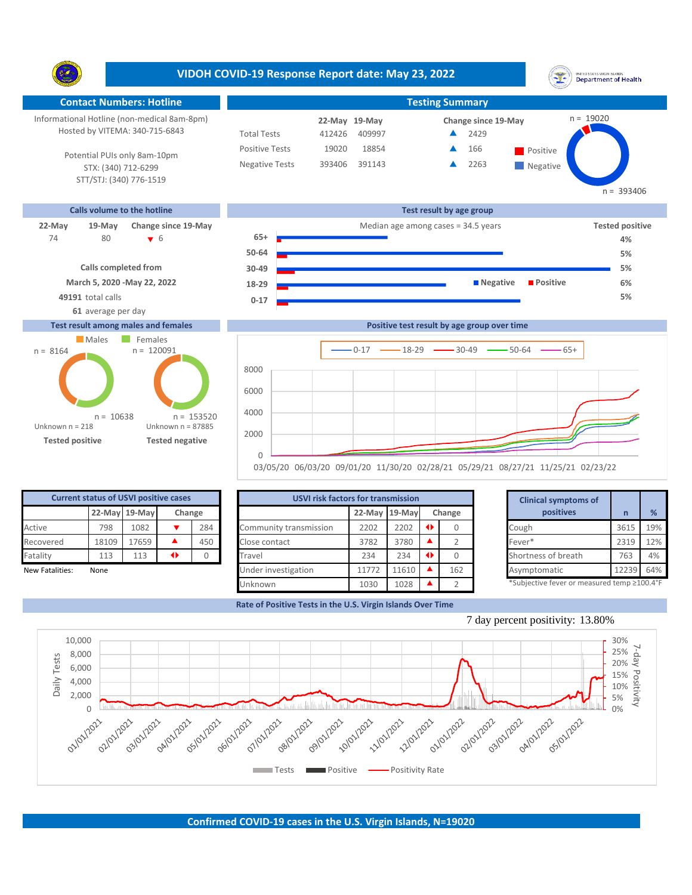**VIDOH COVID-19 Response Report date: May 23, 2022** UNITED STATES VIRGIN ISLANDS<br>Department of Health Y. **Contact Numbers: Hotline Testing Summary Testing Summary** n = 19020 Informational Hotline (non-medical 8am-8pm) **19-May 22-May Change since 19-May** Hosted by VITEMA: 340-715-6843 Total Tests 412426 409997 ▲ 2429 Positive Tests 19020 18854 **A** 166 **Positive**  $\blacktriangle$ 166 Potential PUIs only 8am-10pm Negative Tests 393406 391143 2263 ▲ STX: (340) 712-6299 **Negative** STT/STJ: (340) 776-1519 n = 393406 **Calls volume to the hotline Test result by age group 19-May Change since 19-May** Median age among cases = 34.5 years **Tested positive 22-May** 80 6 **65+** 74 80 <del>v</del> 6 <del>b</del> <del>b 5+</del> and a b <del>5+</del> and a b and a b and a b and a b and a b and a b and a b and a b and a b and a b and a b and a b and a b and a b and a b and a b and a b a b and a b a b and a b a b and a b a b and a b a **50-64 5% Calls completed from 30-49 5% March 5, 2020 -May 22, 2022 18-29 Negative Positive 6% 49191** total calls **5% 0-17 61** average per day **Test result among males and females Positive test result by age group over time** Males Females n = 120091n = 8164  $0-17$   $\longrightarrow$  18-29  $\longrightarrow$  30-49  $\longrightarrow$  50-64  $\longrightarrow$  65+ 8000 6000 4000

| <b>Current status of USVI positive cases</b> |       |               |        |     |  |  |  |  |  |  |  |
|----------------------------------------------|-------|---------------|--------|-----|--|--|--|--|--|--|--|
|                                              |       | 22-May 19-May | Change |     |  |  |  |  |  |  |  |
| Active                                       | 798   | 1082          |        | 284 |  |  |  |  |  |  |  |
| Recovered                                    | 18109 | 17659         |        | 450 |  |  |  |  |  |  |  |
| Fatality                                     | 113   | 113           |        |     |  |  |  |  |  |  |  |
| New Fatalities:                              | None  |               |        |     |  |  |  |  |  |  |  |

**Tested positive Tested negative**

n = 10638

Unknown n = 87885

n = 153520

 $\Omega$ 

2000

Unknown n = 218

|                 | <b>Current status of USVI positive cases</b> |               |        |     | <b>USVI risk factors for transmission</b> |       |                         | <b>Clinical symptoms of</b> |     |           |                                             |       |     |
|-----------------|----------------------------------------------|---------------|--------|-----|-------------------------------------------|-------|-------------------------|-----------------------------|-----|-----------|---------------------------------------------|-------|-----|
|                 |                                              | 22-May 19-May | Change |     |                                           |       | 22-May 19-May<br>Change |                             |     | positives |                                             | %     |     |
| Active          | 798                                          | 1082          |        | 284 | Community transmission                    | 2202  | 2202                    | $\rightarrow$               |     |           | Cough                                       | 3615  | 19% |
| Recovered       | 18109                                        | 17659         |        | 450 | Close contact                             | 3782  | 3780                    |                             |     |           | Fever*                                      | 2319  | 12% |
| Fatality        | 113                                          | 113           | ◆      |     | Travel                                    | 234   | 234                     |                             |     |           | Shortness of breath                         | 763   | 4%  |
| New Fatalities: | None                                         |               |        |     | Under investigation                       | 11772 | 11610                   |                             | 162 |           | Asymptomatic                                | 12239 | 64% |
|                 |                                              |               |        |     | Unknown                                   | 1030  | 1028                    |                             |     |           | *Subjective fever or measured temp ≥100.4°F |       |     |

03/05/20 06/03/20 09/01/20 11/30/20 02/28/21 05/29/21 08/27/21 11/25/21 02/23/22

**Rate of Positive Tests in the U.S. Virgin Islands Over Time**







**Confirmed COVID-19 cases in the U.S. Virgin Islands, N=19020**